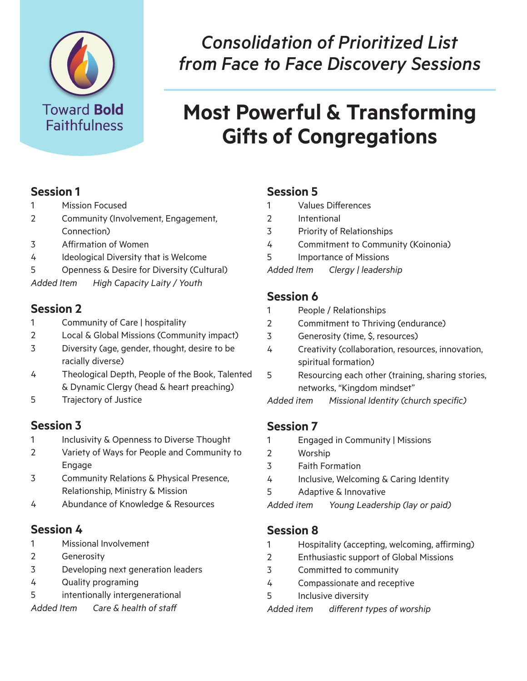

# *Consolidation of Prioritized List from Face to Face Discovery Sessions*

# **Most Powerful & Transforming Gifts of Congregations**

#### **Session 1**

- 1 Mission Focused
- 2 Community (Involvement, Engagement, Connection)
- 3 Affirmation of Women
- 4 Ideological Diversity that is Welcome
- 5 Openness & Desire for Diversity (Cultural)
- *Added Item High Capacity Laity / Youth*

#### **Session 2**

- 1 Community of Care | hospitality
- 2 Local & Global Missions (Community impact)
- 3 Diversity (age, gender, thought, desire to be racially diverse)
- 4 Theological Depth, People of the Book, Talented & Dynamic Clergy (head & heart preaching)
- 5 Trajectory of Justice

#### **Session 3**

- 1 Inclusivity & Openness to Diverse Thought
- 2 Variety of Ways for People and Community to Engage
- 3 Community Relations & Physical Presence, Relationship, Ministry & Mission
- 4 Abundance of Knowledge & Resources

#### **Session 4**

- 1 Missional Involvement
- 2 Generosity
- 3 Developing next generation leaders
- 4 Quality programing
- 5 intentionally intergenerational
- *Added Item Care & health of staff*

#### **Session 5**

- 1 Values Differences
- 2 Intentional
- 3 Priority of Relationships
- 4 Commitment to Community (Koinonia)
- 5 Importance of Missions
- *Added Item Clergy | leadership*

#### **Session 6**

- 1 People / Relationships
- 2 Commitment to Thriving (endurance)
- 3 Generosity (time, \$, resources)
- 4 Creativity (collaboration, resources, innovation, spiritual formation)
- 5 Resourcing each other (training, sharing stories, networks, "Kingdom mindset"

*Added item Missional Identity (church specific)* 

# **Session 7**

- 1 Engaged in Community | Missions
- 2 Worship
- 3 Faith Formation
- 4 Inclusive, Welcoming & Caring Identity
- 5 Adaptive & Innovative

*Added item Young Leadership (lay or paid)* 

# **Session 8**

- 1 Hospitality (accepting, welcoming, affirming)
- 2 Enthusiastic support of Global Missions
- 3 Committed to community
- 4 Compassionate and receptive
- 5 Inclusive diversity
- *Added item different types of worship*